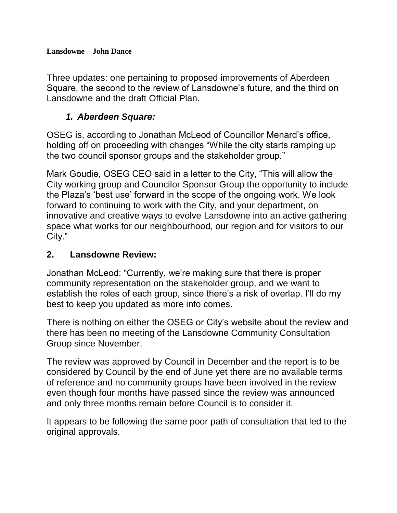**Lansdowne – John Dance**

Three updates: one pertaining to proposed improvements of Aberdeen Square, the second to the review of Lansdowne's future, and the third on Lansdowne and the draft Official Plan.

## *1. Aberdeen Square:*

OSEG is, according to Jonathan McLeod of Councillor Menard's office, holding off on proceeding with changes "While the city starts ramping up the two council sponsor groups and the stakeholder group."

Mark Goudie, OSEG CEO said in a letter to the City, "This will allow the City working group and Councilor Sponsor Group the opportunity to include the Plaza's 'best use' forward in the scope of the ongoing work. We look forward to continuing to work with the City, and your department, on innovative and creative ways to evolve Lansdowne into an active gathering space what works for our neighbourhood, our region and for visitors to our City."

## **2. Lansdowne Review:**

Jonathan McLeod: "Currently, we're making sure that there is proper community representation on the stakeholder group, and we want to establish the roles of each group, since there's a risk of overlap. I'll do my best to keep you updated as more info comes.

There is nothing on either the OSEG or City's website about the review and there has been no meeting of the Lansdowne Community Consultation Group since November.

The review was approved by Council in December and the report is to be considered by Council by the end of June yet there are no available terms of reference and no community groups have been involved in the review even though four months have passed since the review was announced and only three months remain before Council is to consider it.

It appears to be following the same poor path of consultation that led to the original approvals.